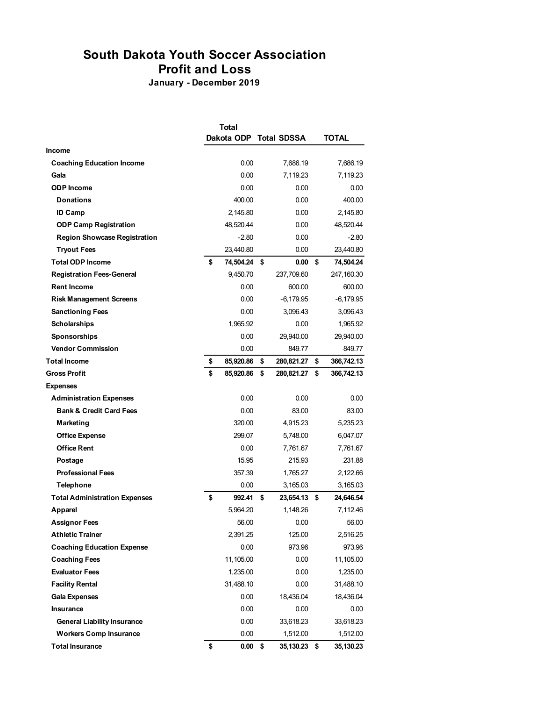## **South Dakota Youth Soccer Association Profit and Loss**

**January - December 2019**

|                                      | <b>Total</b>    |    |                    |    |              |  |
|--------------------------------------|-----------------|----|--------------------|----|--------------|--|
|                                      | Dakota ODP      |    | <b>Total SDSSA</b> |    | <b>TOTAL</b> |  |
| <b>Income</b>                        |                 |    |                    |    |              |  |
| <b>Coaching Education Income</b>     | 0.00            |    | 7,686.19           |    | 7,686.19     |  |
| Gala                                 | 0.00            |    | 7,119.23           |    | 7,119.23     |  |
| <b>ODP</b> Income                    | 0.00            |    | 0.00               |    | 0.00         |  |
| <b>Donations</b>                     | 400.00          |    | 0.00               |    | 400.00       |  |
| <b>ID Camp</b>                       | 2,145.80        |    | 0.00               |    | 2,145.80     |  |
| <b>ODP Camp Registration</b>         | 48,520.44       |    | 0.00               |    | 48,520.44    |  |
| <b>Region Showcase Registration</b>  | $-2.80$         |    | 0.00               |    | $-2.80$      |  |
| <b>Tryout Fees</b>                   | 23,440.80       |    | 0.00               |    | 23,440.80    |  |
| <b>Total ODP Income</b>              | \$<br>74,504.24 | \$ | 0.00               | \$ | 74,504.24    |  |
| <b>Registration Fees-General</b>     | 9,450.70        |    | 237,709.60         |    | 247,160.30   |  |
| <b>Rent Income</b>                   | 0.00            |    | 600.00             |    | 600.00       |  |
| <b>Risk Management Screens</b>       | 0.00            |    | $-6,179.95$        |    | -6,179.95    |  |
| <b>Sanctioning Fees</b>              | 0.00            |    | 3,096.43           |    | 3,096.43     |  |
| <b>Scholarships</b>                  | 1,965.92        |    | 0.00               |    | 1,965.92     |  |
| Sponsorships                         | 0.00            |    | 29,940.00          |    | 29,940.00    |  |
| <b>Vendor Commission</b>             | 0.00            |    | 849.77             |    | 849.77       |  |
| <b>Total Income</b>                  | \$<br>85,920.86 | \$ | 280,821.27         | \$ | 366,742.13   |  |
| <b>Gross Profit</b>                  | \$<br>85,920.86 | \$ | 280,821.27         | \$ | 366,742.13   |  |
| <b>Expenses</b>                      |                 |    |                    |    |              |  |
| <b>Administration Expenses</b>       | 0.00            |    | 0.00               |    | 0.00         |  |
| <b>Bank &amp; Credit Card Fees</b>   | 0.00            |    | 83.00              |    | 83.00        |  |
| Marketing                            | 320.00          |    | 4,915.23           |    | 5,235.23     |  |
| <b>Office Expense</b>                | 299.07          |    | 5,748.00           |    | 6,047.07     |  |
| <b>Office Rent</b>                   | 0.00            |    | 7,761.67           |    | 7,761.67     |  |
| Postage                              | 15.95           |    | 215.93             |    | 231.88       |  |
| <b>Professional Fees</b>             | 357.39          |    | 1,765.27           |    | 2,122.66     |  |
| <b>Telephone</b>                     | 0.00            |    | 3,165.03           |    | 3,165.03     |  |
| <b>Total Administration Expenses</b> | \$<br>992.41    | \$ | 23,654.13          | \$ | 24,646.54    |  |
| Apparel                              | 5,964.20        |    | 1.148.26           |    | 7,112.46     |  |
| <b>Assignor Fees</b>                 | 56.00           |    | 0.00               |    | 56.00        |  |
| <b>Athletic Trainer</b>              | 2,391.25        |    | 125.00             |    | 2,516.25     |  |
| <b>Coaching Education Expense</b>    | 0.00            |    | 973.96             |    | 973.96       |  |
| <b>Coaching Fees</b>                 | 11,105.00       |    | 0.00               |    | 11,105.00    |  |
| <b>Evaluator Fees</b>                | 1,235.00        |    | 0.00               |    | 1,235.00     |  |
| <b>Facility Rental</b>               | 31,488.10       |    | 0.00               |    | 31,488.10    |  |
| <b>Gala Expenses</b>                 | 0.00            |    | 18,436.04          |    | 18,436.04    |  |
| Insurance                            | 0.00            |    | 0.00               |    | 0.00         |  |
| <b>General Liability Insurance</b>   | 0.00            |    | 33,618.23          |    | 33,618.23    |  |
| <b>Workers Comp Insurance</b>        | 0.00            |    | 1,512.00           |    | 1,512.00     |  |
| <b>Total Insurance</b>               | \$<br>$0.00$ \$ |    | 35,130.23 \$       |    | 35,130.23    |  |